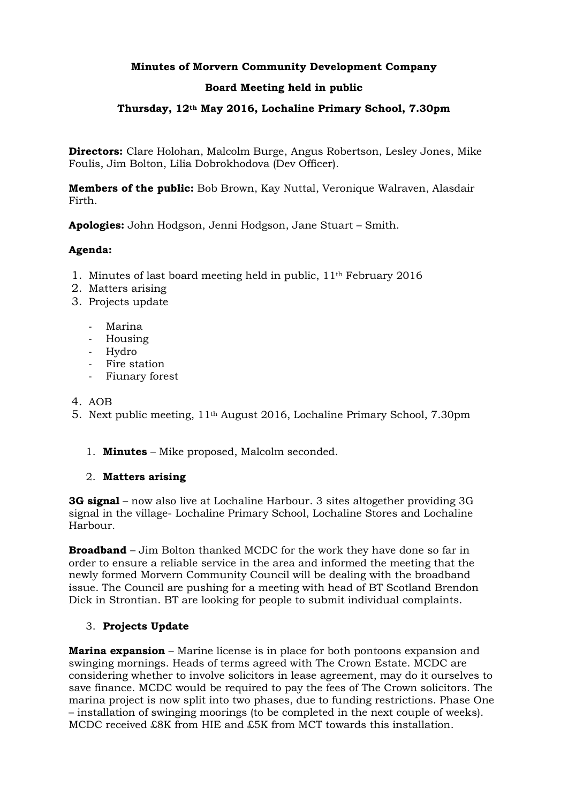# **Minutes of Morvern Community Development Company**

# **Board Meeting held in public**

# **Thursday, 12th May 2016, Lochaline Primary School, 7.30pm**

**Directors:** Clare Holohan, Malcolm Burge, Angus Robertson, Lesley Jones, Mike Foulis, Jim Bolton, Lilia Dobrokhodova (Dev Officer).

**Members of the public:** Bob Brown, Kay Nuttal, Veronique Walraven, Alasdair Firth.

**Apologies:** John Hodgson, Jenni Hodgson, Jane Stuart – Smith.

### **Agenda:**

- 1. Minutes of last board meeting held in public, 11th February 2016
- 2. Matters arising
- 3. Projects update
	- Marina
	- Housing
	- Hydro
	- Fire station
	- Fiunary forest
- 4. AOB
- 5. Next public meeting, 11th August 2016, Lochaline Primary School, 7.30pm
	- 1. **Minutes** Mike proposed, Malcolm seconded.

#### 2. **Matters arising**

**3G signal** – now also live at Lochaline Harbour. 3 sites altogether providing 3G signal in the village- Lochaline Primary School, Lochaline Stores and Lochaline Harbour.

**Broadband** – Jim Bolton thanked MCDC for the work they have done so far in order to ensure a reliable service in the area and informed the meeting that the newly formed Morvern Community Council will be dealing with the broadband issue. The Council are pushing for a meeting with head of BT Scotland Brendon Dick in Strontian. BT are looking for people to submit individual complaints.

### 3. **Projects Update**

**Marina expansion** – Marine license is in place for both pontoons expansion and swinging mornings. Heads of terms agreed with The Crown Estate. MCDC are considering whether to involve solicitors in lease agreement, may do it ourselves to save finance. MCDC would be required to pay the fees of The Crown solicitors. The marina project is now split into two phases, due to funding restrictions. Phase One – installation of swinging moorings (to be completed in the next couple of weeks). MCDC received £8K from HIE and £5K from MCT towards this installation.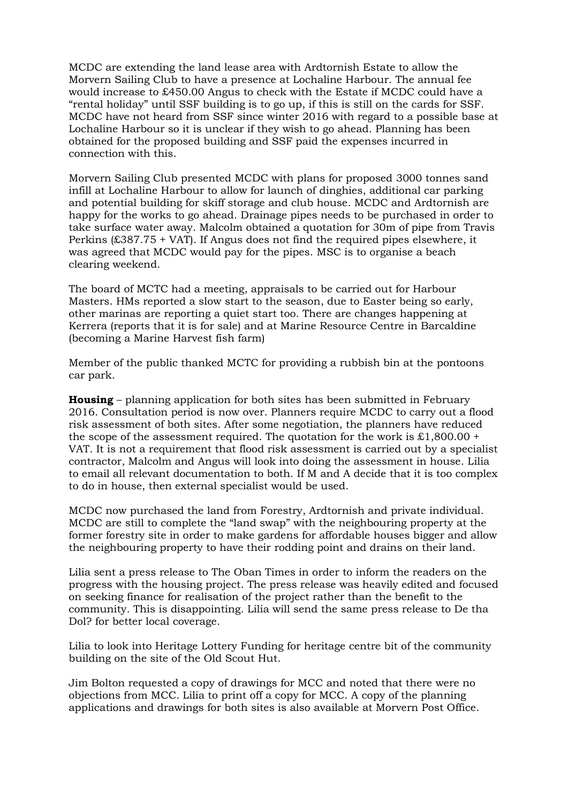MCDC are extending the land lease area with Ardtornish Estate to allow the Morvern Sailing Club to have a presence at Lochaline Harbour. The annual fee would increase to £450.00 Angus to check with the Estate if MCDC could have a "rental holiday" until SSF building is to go up, if this is still on the cards for SSF. MCDC have not heard from SSF since winter 2016 with regard to a possible base at Lochaline Harbour so it is unclear if they wish to go ahead. Planning has been obtained for the proposed building and SSF paid the expenses incurred in connection with this.

Morvern Sailing Club presented MCDC with plans for proposed 3000 tonnes sand infill at Lochaline Harbour to allow for launch of dinghies, additional car parking and potential building for skiff storage and club house. MCDC and Ardtornish are happy for the works to go ahead. Drainage pipes needs to be purchased in order to take surface water away. Malcolm obtained a quotation for 30m of pipe from Travis Perkins (£387.75 + VAT). If Angus does not find the required pipes elsewhere, it was agreed that MCDC would pay for the pipes. MSC is to organise a beach clearing weekend.

The board of MCTC had a meeting, appraisals to be carried out for Harbour Masters. HMs reported a slow start to the season, due to Easter being so early, other marinas are reporting a quiet start too. There are changes happening at Kerrera (reports that it is for sale) and at Marine Resource Centre in Barcaldine (becoming a Marine Harvest fish farm)

Member of the public thanked MCTC for providing a rubbish bin at the pontoons car park.

**Housing** – planning application for both sites has been submitted in February 2016. Consultation period is now over. Planners require MCDC to carry out a flood risk assessment of both sites. After some negotiation, the planners have reduced the scope of the assessment required. The quotation for the work is  $\pounds1,800.00 +$ VAT. It is not a requirement that flood risk assessment is carried out by a specialist contractor, Malcolm and Angus will look into doing the assessment in house. Lilia to email all relevant documentation to both. If M and A decide that it is too complex to do in house, then external specialist would be used.

MCDC now purchased the land from Forestry, Ardtornish and private individual. MCDC are still to complete the "land swap" with the neighbouring property at the former forestry site in order to make gardens for affordable houses bigger and allow the neighbouring property to have their rodding point and drains on their land.

Lilia sent a press release to The Oban Times in order to inform the readers on the progress with the housing project. The press release was heavily edited and focused on seeking finance for realisation of the project rather than the benefit to the community. This is disappointing. Lilia will send the same press release to De tha Dol? for better local coverage.

Lilia to look into Heritage Lottery Funding for heritage centre bit of the community building on the site of the Old Scout Hut.

Jim Bolton requested a copy of drawings for MCC and noted that there were no objections from MCC. Lilia to print off a copy for MCC. A copy of the planning applications and drawings for both sites is also available at Morvern Post Office.